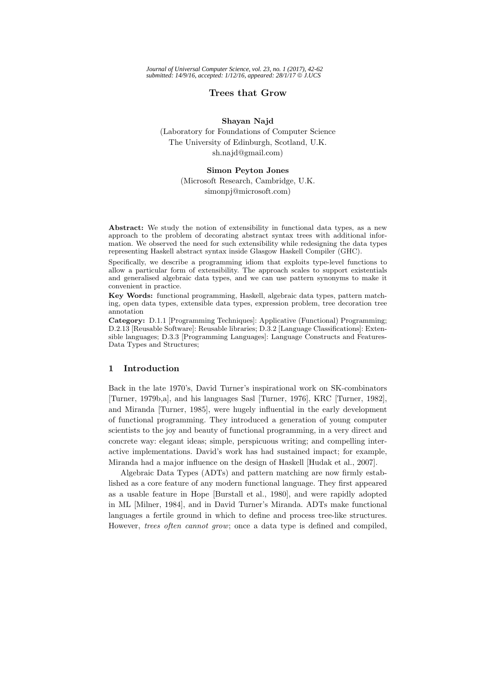## **Trees that Grow**

### **Shayan Najd**

(Laboratory for Foundations of Computer Science The University of Edinburgh, Scotland, U.K. sh.najd@gmail.com)

#### **Simon Peyton Jones**

(Microsoft Research, Cambridge, U.K. simonpj@microsoft.com)

**Abstract:** We study the notion of extensibility in functional data types, as a new approach to the problem of decorating abstract syntax trees with additional information. We observed the need for such extensibility while redesigning the data types representing Haskell abstract syntax inside Glasgow Haskell Compiler (GHC).

Specifically, we describe a programming idiom that exploits type-level functions to allow a particular form of extensibility. The approach scales to support existentials and generalised algebraic data types, and we can use pattern synonyms to make it convenient in practice.

**Key Words:** functional programming, Haskell, algebraic data types, pattern matching, open data types, extensible data types, expression problem, tree decoration tree annotation

**Category:** D.1.1 [Programming Techniques]: Applicative (Functional) Programming; D.2.13 [Reusable Software]: Reusable libraries; D.3.2 [Language Classifications]: Extensible languages; D.3.3 [Programming Languages]: Language Constructs and Features-Data Types and Structures;

### **1 Introduction**

Back in the late 1970's, David Turner's inspirational work on SK-combinators [Turner, 1979b,a], and his languages Sasl [Turner, 1976], KRC [Turner, 1982], and Miranda [Turner, 1985], were hugely influential in the early development of functional programming. They introduced a generation of young computer scientists to the joy and beauty of functional programming, in a very direct and concrete way: elegant ideas; simple, perspicuous writing; and compelling interactive implementations. David's work has had sustained impact; for example, Miranda had a major influence on the design of Haskell [Hudak et al., 2007].

Algebraic Data Types (ADTs) and pattern matching are now firmly established as a core feature of any modern functional language. They first appeared as a usable feature in Hope [Burstall et al., 1980], and were rapidly adopted in ML [Milner, 1984], and in David Turner's Miranda. ADTs make functional languages a fertile ground in which to define and process tree-like structures. However, trees often cannot grow; once a data type is defined and compiled,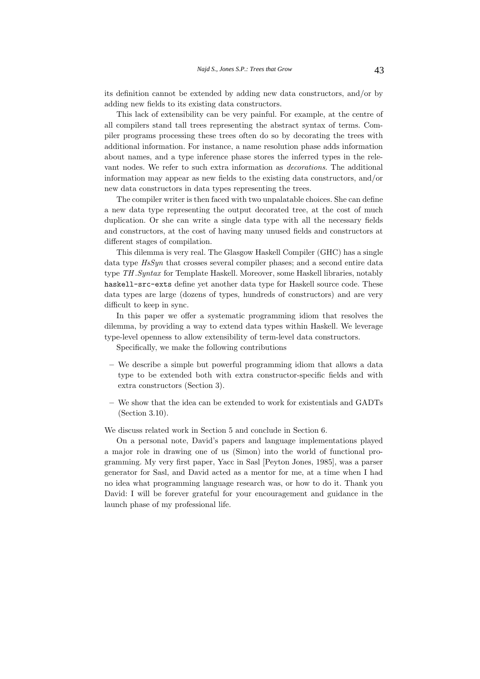its definition cannot be extended by adding new data constructors, and/or by adding new fields to its existing data constructors.

This lack of extensibility can be very painful. For example, at the centre of all compilers stand tall trees representing the abstract syntax of terms. Compiler programs processing these trees often do so by decorating the trees with additional information. For instance, a name resolution phase adds information about names, and a type inference phase stores the inferred types in the relevant nodes. We refer to such extra information as decorations. The additional information may appear as new fields to the existing data constructors, and/or new data constructors in data types representing the trees.

The compiler writer is then faced with two unpalatable choices. She can define a new data type representing the output decorated tree, at the cost of much duplication. Or she can write a single data type with all the necessary fields and constructors, at the cost of having many unused fields and constructors at different stages of compilation.

This dilemma is very real. The Glasgow Haskell Compiler (GHC) has a single data type  $HsSyn$  that crosses several compiler phases; and a second entire data type TH .Syntax for Template Haskell. Moreover, some Haskell libraries, notably haskell-src-exts define yet another data type for Haskell source code. These data types are large (dozens of types, hundreds of constructors) and are very difficult to keep in sync.

In this paper we offer a systematic programming idiom that resolves the dilemma, by providing a way to extend data types within Haskell. We leverage type-level openness to allow extensibility of term-level data constructors.

Specifically, we make the following contributions

- **–** We describe a simple but powerful programming idiom that allows a data type to be extended both with extra constructor-specific fields and with extra constructors (Section 3).
- **–** We show that the idea can be extended to work for existentials and GADTs (Section 3.10).

We discuss related work in Section 5 and conclude in Section 6.

On a personal note, David's papers and language implementations played a major role in drawing one of us (Simon) into the world of functional programming. My very first paper, Yacc in Sasl [Peyton Jones, 1985], was a parser generator for Sasl, and David acted as a mentor for me, at a time when I had no idea what programming language research was, or how to do it. Thank you David: I will be forever grateful for your encouragement and guidance in the launch phase of my professional life.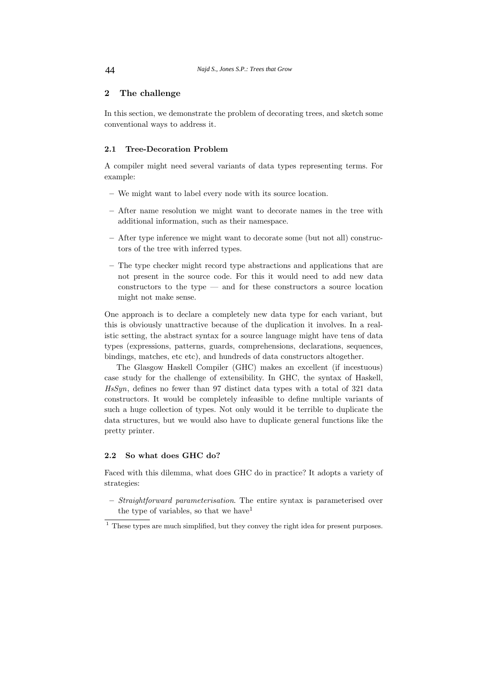# **2 The challenge**

In this section, we demonstrate the problem of decorating trees, and sketch some conventional ways to address it.

### **2.1 Tree-Decoration Problem**

A compiler might need several variants of data types representing terms. For example:

- **–** We might want to label every node with its source location.
- **–** After name resolution we might want to decorate names in the tree with additional information, such as their namespace.
- **–** After type inference we might want to decorate some (but not all) constructors of the tree with inferred types.
- **–** The type checker might record type abstractions and applications that are not present in the source code. For this it would need to add new data  $\alpha$  constructors to the type — and for these constructors a source location might not make sense.

One approach is to declare a completely new data type for each variant, but this is obviously unattractive because of the duplication it involves. In a realistic setting, the abstract syntax for a source language might have tens of data types (expressions, patterns, guards, comprehensions, declarations, sequences, bindings, matches, etc etc), and hundreds of data constructors altogether.

The Glasgow Haskell Compiler (GHC) makes an excellent (if incestuous) case study for the challenge of extensibility. In GHC, the syntax of Haskell, HsSyn, defines no fewer than 97 distinct data types with a total of 321 data constructors. It would be completely infeasible to define multiple variants of such a huge collection of types. Not only would it be terrible to duplicate the data structures, but we would also have to duplicate general functions like the pretty printer.

## **2.2 So what does GHC do?**

Faced with this dilemma, what does GHC do in practice? It adopts a variety of strategies:

**–** Straightforward parameterisation. The entire syntax is parameterised over the type of variables, so that we have  $1$ 

 $<sup>1</sup>$  These types are much simplified, but they convey the right idea for present purposes.</sup>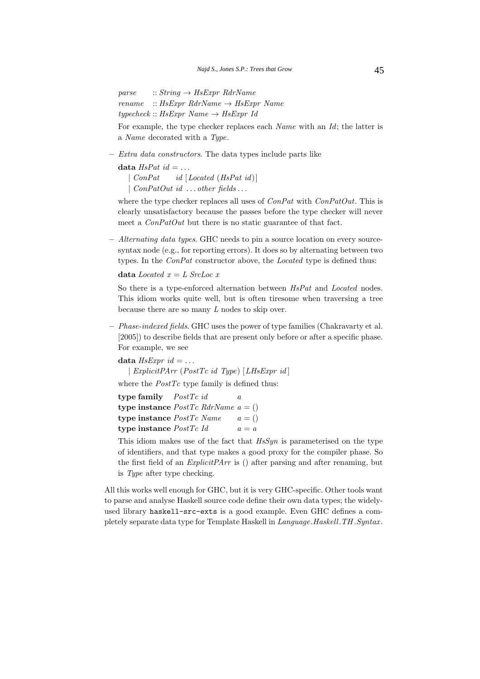parse  $:: String \rightarrow HsExpr RdrName$  $rename :: HsExpr RdrName \rightarrow HsExpr Name$  $typecheck::HsExpr Name \rightarrow HsExpr Id$ 

For example, the type checker replaces each Name with an Id; the latter is a Name decorated with a Type.

**–** Extra data constructors. The data types include parts like

data  $HsPat$  id  $= \ldots$ 

 $\lceil \text{ConPat} \rceil$  id  $\lceil \text{located (HsPat id)} \rceil$ | ConPatOut id ... other fields ...

where the type checker replaces all uses of  $ConPat$  with  $ConPatOut$ . This is clearly unsatisfactory because the passes before the type checker will never meet a  $ConPatOut$  but there is no static guarantee of that fact.

**–** Alternating data types. GHC needs to pin a source location on every sourcesyntax node (e.g., for reporting errors). It does so by alternating between two types. In the ConPat constructor above, the Located type is defined thus:

**data** Located  $x = L$  SrcLoc x

So there is a type-enforced alternation between  $HsPat$  and Located nodes. This idiom works quite well, but is often tiresome when traversing a tree because there are so many L nodes to skip over.

**–** Phase-indexed fields. GHC uses the power of type families (Chakravarty et al. [2005]) to describe fields that are present only before or after a specific phase. For example, we see

**data**  $HsExpr$   $id = \ldots$ | ExplicitPArr (PostTc id Type) [LHsExpr id ]

where the  $PostTc$  type family is defined thus:

**type family** PostTc id a **type instance**  $PostTc$  RdrName  $a = ()$ **type instance**  $PostTc$  Name  $a = ()$ **type instance**  $PostTc$  Id  $a = a$ 

This idiom makes use of the fact that  $HsSum$  is parameterised on the type of identifiers, and that type makes a good proxy for the compiler phase. So the first field of an  $Explicit Parr$  is () after parsing and after renaming, but is Type after type checking.

All this works well enough for GHC, but it is very GHC-specific. Other tools want to parse and analyse Haskell source code define their own data types; the widelyused library haskell-src-exts is a good example. Even GHC defines a completely separate data type for Template Haskell in Language.Haskell.TH .Syntax .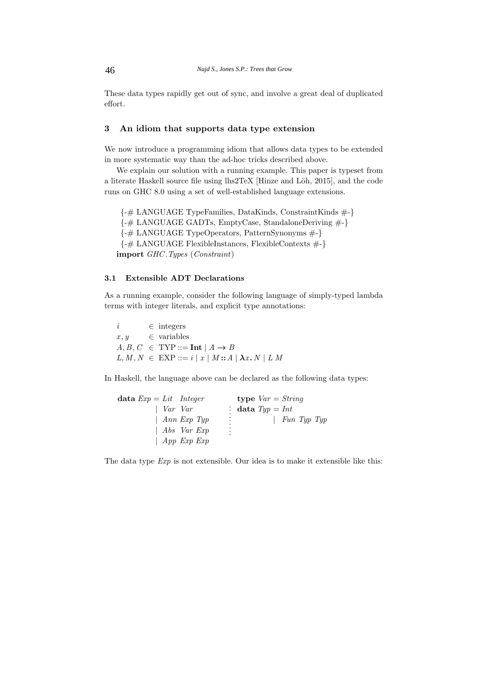These data types rapidly get out of sync, and involve a great deal of duplicated effort.

# **3 An idiom that supports data type extension**

We now introduce a programming idiom that allows data types to be extended in more systematic way than the ad-hoc tricks described above.

We explain our solution with a running example. This paper is typeset from a literate Haskell source file using lhs2TeX [Hinze and Löh, 2015], and the code runs on GHC 8.0 using a set of well-established language extensions.

{-# LANGUAGE TypeFamilies, DataKinds, ConstraintKinds #-} {-# LANGUAGE GADTs, EmptyCase, StandaloneDeriving #-} {-# LANGUAGE TypeOperators, PatternSynonyms #-} {-# LANGUAGE FlexibleInstances, FlexibleContexts #-} **import** GHC .Types (Constraint)

# **3.1 Extensible ADT Declarations**

As a running example, consider the following language of simply-typed lambda terms with integer literals, and explicit type annotations:

 $i \in \text{integers}$  $x, y \in \text{variables}$  $A, B, C \in \text{Type} ::= \text{Int} | A \rightarrow B$  $L, M, N \in EXP ::= i | x | M :: A | \lambda x. N | L M$ 

In Haskell, the language above can be declared as the following data types:

| data $Exp = Lit$ Integer | type $Var = String$ |
|--------------------------|---------------------|
| $\mid$ Var Var           | : data $Type = Int$ |
| $\mid$ Ann Exp Typ       | ÷.<br>  Fun Typ Typ |
| Abs Var Exp              | ÷                   |
| App Exp Exp              |                     |

The data type  $Exp$  is not extensible. Our idea is to make it extensible like this: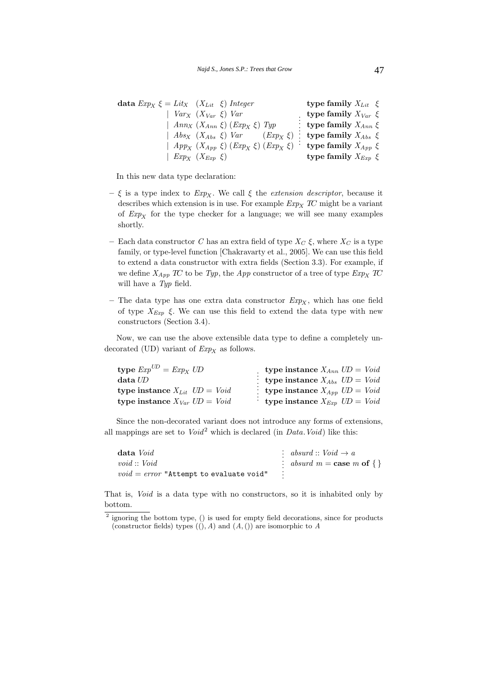| data $Exp_X \xi = Lit_X$ $(X_{Lit} \xi)$ Integer |                                                                                                                     | type family $X_{Lit} \xi$   |
|--------------------------------------------------|---------------------------------------------------------------------------------------------------------------------|-----------------------------|
| $Var_X$ $(X_{Var} \xi)$ $Var$                    |                                                                                                                     | type family $X_{Var} \xi$   |
|                                                  | $\mid$ Ann <sub>X</sub> $(X_{Ann} \xi)$ (Exp <sub>X</sub> $\xi$ ) Typ                                               | : type family $X_{Ann} \xi$ |
|                                                  | $Abs_X$ $(X_{Abs} \xi)$ $Var$ $(Exp_X \xi)$ : type family $X_{Abs} \xi$                                             |                             |
|                                                  | $\mid$ App <sub>X</sub> $(X_{App} \xi)$ $(\text{Exp}_X \xi)$ $(\text{Exp}_X \xi)$ $\cdot$ type family $X_{App} \xi$ |                             |
| $Exp_X$ $(X_{Exp} \xi)$                          |                                                                                                                     | type family $X_{Exp} \xi$   |

In this new data type declaration:

- $-\xi$  is a type index to  $Exp_X$ . We call  $\xi$  the *extension descriptor*, because it describes which extension is in use. For example  $Exp<sub>X</sub>$  TC might be a variant of  $Exp<sub>X</sub>$  for the type checker for a language; we will see many examples shortly.
- Each data constructor C has an extra field of type  $X_C \xi$ , where  $X_C$  is a type family, or type-level function [Chakravarty et al., 2005]. We can use this field to extend a data constructor with extra fields (Section 3.3). For example, if we define  $X_{App}$  TC to be Typ, the App constructor of a tree of type  $Exp_X$  TC will have a Typ field.
- The data type has one extra data constructor  $Exp_X$ , which has one field of type  $X_{Exp}$  ξ. We can use this field to extend the data type with new constructors (Section 3.4).

Now, we can use the above extensible data type to define a completely undecorated (UD) variant of  $Exp<sub>X</sub>$  as follows.

| type $Exp^{UD} = Exp_X UD$          | type instance $X_{Ann}$ $UD = Void$   |
|-------------------------------------|---------------------------------------|
| $data$ $U\!D$                       | : type instance $X_{Abs}$ $UD = Void$ |
| type instance $X_{Lit}$ $UD = Void$ | : type instance $X_{App}$ $UD = Void$ |
| type instance $X_{Var}$ $UD = Void$ | : type instance $X_{Exp}$ $UD = Void$ |

Since the non-decorated variant does not introduce any forms of extensions, all mappings are set to  $Void^2$  which is declared (in *Data.Void*) like this:

| data Void                                 | : absurd :: $Void \rightarrow a$  |
|-------------------------------------------|-----------------------------------|
| void :: Void                              | : absurd $m = \cose m$ of $\{\}\$ |
| $void = error$ "Attempt to evaluate void" |                                   |

That is, Void is a data type with no constructors, so it is inhabited only by bottom.

 $2$  ignoring the bottom type, () is used for empty field decorations, since for products (constructor fields) types  $((\cdot), A)$  and  $(A,())$  are isomorphic to A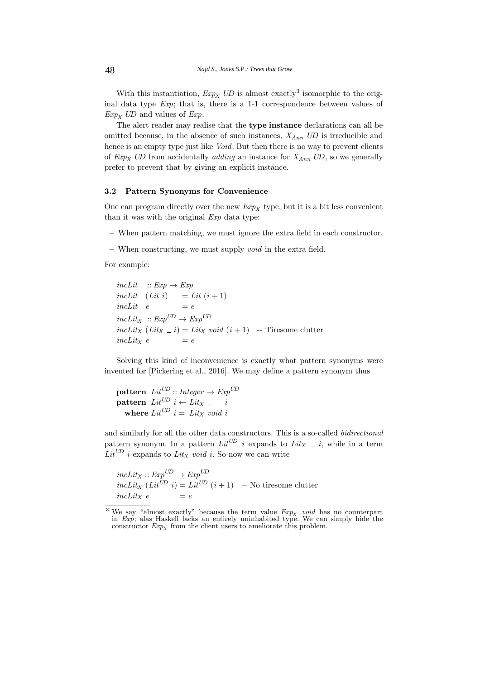With this instantiation,  $Exp<sub>X</sub>$  UD is almost exactly<sup>3</sup> isomorphic to the original data type Exp; that is, there is a 1-1 correspondence between values of  $Exp<sub>X</sub>$  UD and values of Exp.

The alert reader may realise that the **type instance** declarations can all be omitted because, in the absence of such instances,  $X_{Ann}$  UD is irreducible and hence is an empty type just like *Void*. But then there is no way to prevent clients of  $Exp_X$  UD from accidentally *adding* an instance for  $X_{Ann}$  UD, so we generally prefer to prevent that by giving an explicit instance.

# **3.2 Pattern Synonyms for Convenience**

One can program directly over the new  $Exp<sub>X</sub>$  type, but it is a bit less convenient than it was with the original Exp data type:

- **–** When pattern matching, we must ignore the extra field in each constructor.
- **–** When constructing, we must supply void in the extra field.

For example:

 $incLit :: Exp \rightarrow Exp$ incLit  $(Lit i) = Lit (i + 1)$  $incLit \quad e \qquad \qquad = e$  $incLit_X :: Exp^{UD} \rightarrow Exp^{UD}$  $incLit_X (Lit_X = i) = Lit_X void (i + 1) -$  Tiresome clutter  $incLit_X e = e$ 

Solving this kind of inconvenience is exactly what pattern synonyms were invented for [Pickering et al., 2016]. We may define a pattern synonym thus

**pattern**  $Lit^{UD}$  :: Integer  $\rightarrow Exp^{UD}$  $\textbf{pattern}\;\; Lit^{UD}\;\;i \leftarrow Lit_{X}\;{\underline{\quad}}\;\;\;\;i$ where  $Lit^{UD}$   $i = Lit_X$  void i

and similarly for all the other data constructors. This is a so-called bidirectional pattern synonym. In a pattern  $Lit^{\text{UD}}$  i expands to  $Lit_X = i$ , while in a term  $Lit^{UD}$  i expands to  $Lit_X$  void i. So now we can write

 $incLit_X :: Exp^{UD} \rightarrow Exp^{UD}$ inclit<sub>X</sub> (Lit<sup>UD</sup> i) = Lit<sup>UD</sup> (i+1) -- No tiresome clutter  $incLitx$  e

<sup>&</sup>lt;sup>3</sup> We say "almost exactly" because the term value  $Exp<sub>X</sub>$  void has no counterpart in Exp; alas Haskell lacks an entirely uninhabited type. We can simply hide the constructor  $Exp<sub>X</sub>$  from the client users to ameliorate this problem.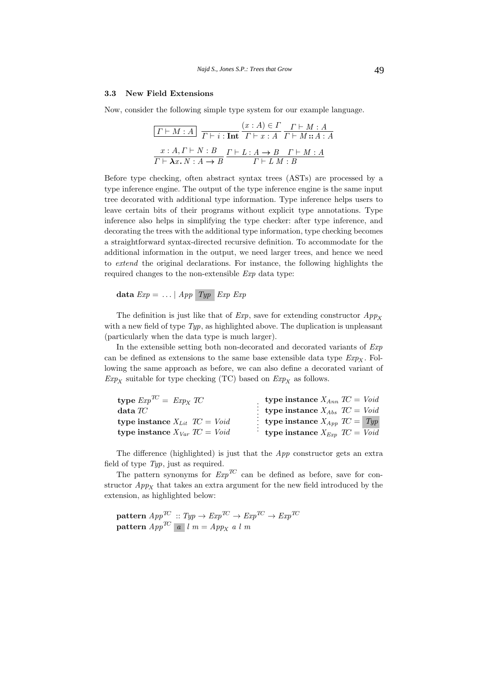## **3.3 New Field Extensions**

Now, consider the following simple type system for our example language.

$$
\boxed{\Gamma \vdash M : A}
$$
\n
$$
\boxed{\Gamma \vdash M : A}
$$
\n
$$
\boxed{\Gamma \vdash i : \text{Int}} \quad \boxed{\Gamma \vdash x : A}
$$
\n
$$
\boxed{\Gamma \vdash M : A : A}
$$
\n
$$
\boxed{x : A, \Gamma \vdash N : B}
$$
\n
$$
\boxed{\Gamma \vdash L : A \to B \quad \Gamma \vdash M : A}
$$
\n
$$
\boxed{\Gamma \vdash \lambda x. N : A \to B}
$$
\n
$$
\boxed{\Gamma \vdash L M : B}
$$

Before type checking, often abstract syntax trees (ASTs) are processed by a type inference engine. The output of the type inference engine is the same input tree decorated with additional type information. Type inference helps users to leave certain bits of their programs without explicit type annotations. Type inference also helps in simplifying the type checker: after type inference, and decorating the trees with the additional type information, type checking becomes a straightforward syntax-directed recursive definition. To accommodate for the additional information in the output, we need larger trees, and hence we need to extend the original declarations. For instance, the following highlights the required changes to the non-extensible Exp data type:

$$
\mathbf{data}\; Exp = \ldots | \; App \; \; Type \; \; Exp \; \; Exp
$$

The definition is just like that of  $Exp$ , save for extending constructor  $App<sub>X</sub>$ with a new field of type  $Type$ , as highlighted above. The duplication is unpleasant (particularly when the data type is much larger).

In the extensible setting both non-decorated and decorated variants of  $Exp$ can be defined as extensions to the same base extensible data type  $Exp<sub>x</sub>$ . Following the same approach as before, we can also define a decorated variant of  $Exp_X$  suitable for type checking (TC) based on  $Exp_X$  as follows.

| type $Exp^{TC} = Exp_X TC$        | <b>type instance</b> $X_{Ann}$ $TC = Void$ |  |
|-----------------------------------|--------------------------------------------|--|
| $data \, TC$                      | : type instance $X_{Abs}$ $TC = Void$      |  |
| type instance $X_{Lit}$ TC = Void | : type instance $X_{App}$ $TC = Type$      |  |
| type instance $X_{Var}$ TC = Void | type instance $X_{Exp}$ $TC = Void$        |  |

The difference (highlighted) is just that the App constructor gets an extra field of type Typ, just as required.

The pattern synonyms for  $Exp^{TC}$  can be defined as before, save for constructor  $App<sub>X</sub>$  that takes an extra argument for the new field introduced by the extension, as highlighted below:

 $\textbf{pattern } App^{\textcolor{black}{TC}} \ :: \mathit{Typ} \rightarrow \mathit{Exp}^{\textcolor{black}{TC}} \rightarrow \mathit{Exp}^{\textcolor{black}{TC}} \rightarrow \mathit{Exp}^{\textcolor{black}{TC}}$  $\textbf{pattern } App^{\textit{TC}}$  | a | l m = App<sub>X</sub> a l m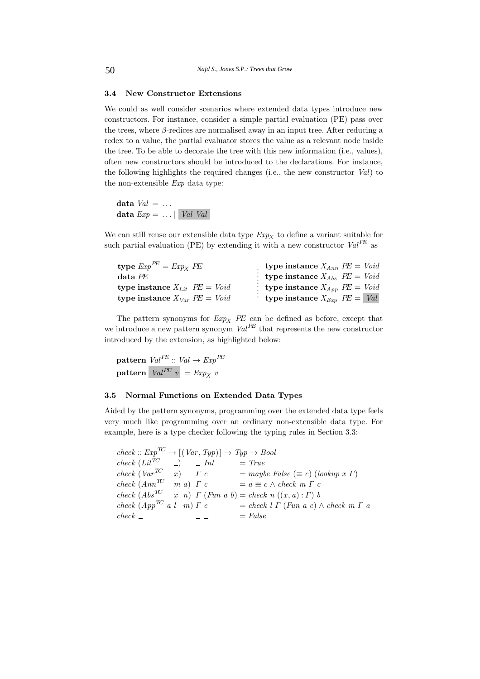## **3.4 New Constructor Extensions**

We could as well consider scenarios where extended data types introduce new constructors. For instance, consider a simple partial evaluation (PE) pass over the trees, where  $\beta$ -redices are normalised away in an input tree. After reducing a redex to a value, the partial evaluator stores the value as a relevant node inside the tree. To be able to decorate the tree with this new information (i.e., values), often new constructors should be introduced to the declarations. For instance, the following highlights the required changes (i.e., the new constructor Val) to the non-extensible Exp data type:

data  $Val = \ldots$ **data**  $Exp = \ldots |$  *Val Val* 

We can still reuse our extensible data type  $Exp<sub>X</sub>$  to define a variant suitable for such partial evaluation (PE) by extending it with a new constructor  $Val^{PE}$  as

| type $Exp^{PE} = Exp_X PE$          | type instance $X_{Ann}$ $PE = Void$   |
|-------------------------------------|---------------------------------------|
| $data$ $PE$                         | : type instance $X_{Abs}$ $PE = Void$ |
| type instance $X_{Lit}$ $PE = Void$ | : type instance $X_{App}$ $PE = Void$ |
| type instance $X_{Var}$ PE = Void   | type instance $X_{Exp}$ $PE =  Val $  |

The pattern synonyms for  $Exp<sub>X</sub>$  PE can be defined as before, except that we introduce a new pattern synonym  $Val^{PE}$  that represents the new constructor introduced by the extension, as highlighted below:

**pattern**  $Val^{PE} :: Val \rightarrow Exp^{PE}$ **pattern**  $Val^{PE} v = Exp_X v$ 

### **3.5 Normal Functions on Extended Data Types**

Aided by the pattern synonyms, programming over the extended data type feels very much like programming over an ordinary non-extensible data type. For example, here is a type checker following the typing rules in Section 3.3:

 $check:: Exp^{TC} \rightarrow [(Var, Type)] \rightarrow Type \rightarrow Bool$  $check (Lit^{TC})$   $-$  Int  $= True$ check  $(Var^{TC} \t x)$   $\Gamma c$  = maybe False ( $\equiv c$ ) (lookup x  $\Gamma$ ) check  $(Ann^{TC} \t m a) \t \Gamma c = a \equiv c \wedge check \t m \t \Gamma c$ check  $(Abs^{TC} \quad x \quad n) \ \Gamma \ (Fun \ a \ b) = check \ n \ ((x, a) : \Gamma) \ b$ check  $(App^{TC} a l \ m) \Gamma c$  = check  $l \Gamma$  (Fun a c)  $\wedge$  check  $m \Gamma a$  $check =$   $= False$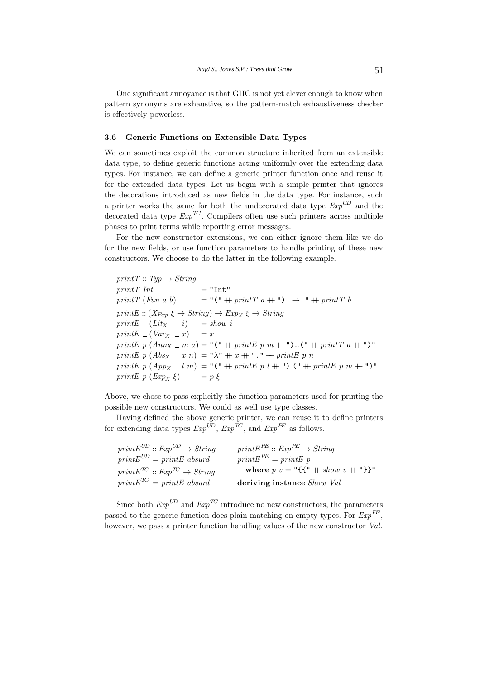One significant annoyance is that GHC is not yet clever enough to know when pattern synonyms are exhaustive, so the pattern-match exhaustiveness checker is effectively powerless.

### **3.6 Generic Functions on Extensible Data Types**

We can sometimes exploit the common structure inherited from an extensible data type, to define generic functions acting uniformly over the extending data types. For instance, we can define a generic printer function once and reuse it for the extended data types. Let us begin with a simple printer that ignores the decorations introduced as new fields in the data type. For instance, such a printer works the same for both the undecorated data type  $Exp^{UD}$  and the decorated data type  $Exp^{TC}$ . Compilers often use such printers across multiple phases to print terms while reporting error messages.

For the new constructor extensions, we can either ignore them like we do for the new fields, or use function parameters to handle printing of these new constructors. We choose to do the latter in the following example.

 $printT :: Type \rightarrow String$  $printT \; Int \qquad \qquad = "Int"$ printT (Fun a b)  $= "(" + printT a +") \rightarrow " + printT b$  $printE :: (X_{Exp} \xi \rightarrow String) \rightarrow Exp_X \xi \rightarrow String$ printE  $(Lity - i)$  = show i  $printE = (Var_X = x) = x$ printE p  $(Ann_X \_ m a) = "(" + printE p m + ")::(" + printT a + ")"$ printE  $p$   $(Abs_{X} = x n) = " \lambda" + x + " \cdot" + printE p n$ printE p  $(App_X \_l m) = "(" + printE p l + "") (" + printE p m + ")"$ printE p  $(Exp_x \xi)$  = p  $\xi$ 

Above, we chose to pass explicitly the function parameters used for printing the possible new constructors. We could as well use type classes.

Having defined the above generic printer, we can reuse it to define printers for extending data types  $Exp^{U\!D}$ ,  $Exp^{T\!C}$ , and  $Exp^{PE}$  as follows.

| $printE^{UD} :: Exp^{UD} \rightarrow String$ | $printE^{PE} :: Exp^{PE} \rightarrow String$            |
|----------------------------------------------|---------------------------------------------------------|
| $printE^{UD} = printE$ absurd                | : $printE^{PE} = printE p$                              |
| $printE^{TC} :: Exp^{TC} \rightarrow String$ | where $p v = "{\mathcal{H}} " + show v + "\mathcal{H}"$ |
| $printE^{TC} = printE$ absurd                | deriving instance Show Val                              |

Since both  $Exp^{UD}$  and  $Exp^{TC}$  introduce no new constructors, the parameters passed to the generic function does plain matching on empty types. For  $Exp^{PE}$ , however, we pass a printer function handling values of the new constructor Val.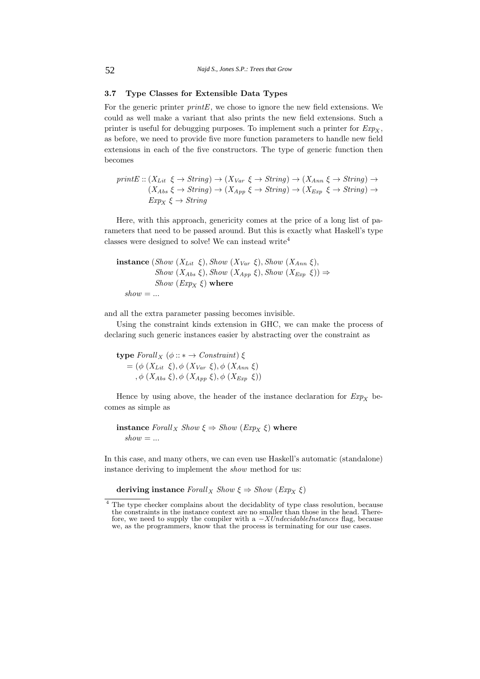## **3.7 Type Classes for Extensible Data Types**

For the generic printer  $printE$ , we chose to ignore the new field extensions. We could as well make a variant that also prints the new field extensions. Such a printer is useful for debugging purposes. To implement such a printer for  $Exp<sub>X</sub>$ , as before, we need to provide five more function parameters to handle new field extensions in each of the five constructors. The type of generic function then becomes

printE ::  $(X_{Lit} \xi \to String) \to (X_{Var} \xi \to String) \to (X_{Ann} \xi \to String) \to$  $(X_{Abs} \xi \rightarrow String) \rightarrow (X_{App} \xi \rightarrow String) \rightarrow (X_{Exp} \xi \rightarrow String) \rightarrow$  $Exp_X \xi \rightarrow String$ 

Here, with this approach, genericity comes at the price of a long list of parameters that need to be passed around. But this is exactly what Haskell's type classes were designed to solve! We can instead write<sup>4</sup>

**instance** (Show  $(X_{Lit} \xi)$ , Show  $(X_{Var} \xi)$ , Show  $(X_{Ann} \xi)$ , Show  $(X_{Abs} \xi)$ , Show  $(X_{App} \xi)$ , Show  $(X_{Exp} \xi)$   $\Rightarrow$ Show  $(Exp_X \xi)$  where  $show = ...$ 

and all the extra parameter passing becomes invisible.

Using the constraint kinds extension in GHC, we can make the process of declaring such generic instances easier by abstracting over the constraint as

**type** Forall<sub>X</sub> ( $\phi$  :: \*  $\rightarrow$  Constraint)  $\xi$  $= (\phi (X_{Lit} \xi), \phi (X_{Var} \xi), \phi (X_{Ann} \xi))$ ,  $\phi$   $(X_{Abs} \xi)$ ,  $\phi$   $(X_{App} \xi)$ ,  $\phi$   $(X_{Exp} \xi)$ 

Hence by using above, the header of the instance declaration for  $Exp<sub>X</sub>$  becomes as simple as

**instance** Forall<sub>X</sub> Show  $\xi \Rightarrow$  Show (Exp<sub>X</sub>  $\xi$ ) where  $show = ...$ 

In this case, and many others, we can even use Haskell's automatic (standalone) instance deriving to implement the show method for us:

**deriving instance**  $Forall_X$  Show  $\xi \Rightarrow$  Show  $(Exp_x \xi)$ 

<sup>&</sup>lt;sup>4</sup> The type checker complains about the decidablity of type class resolution, because the constraints in the instance context are no smaller than those in the head. There-<br>fore, we need to supply the compiler with a  $-XUndecidableInstance$  flag, because we, as the programmers, know that the process is terminating for our use cases.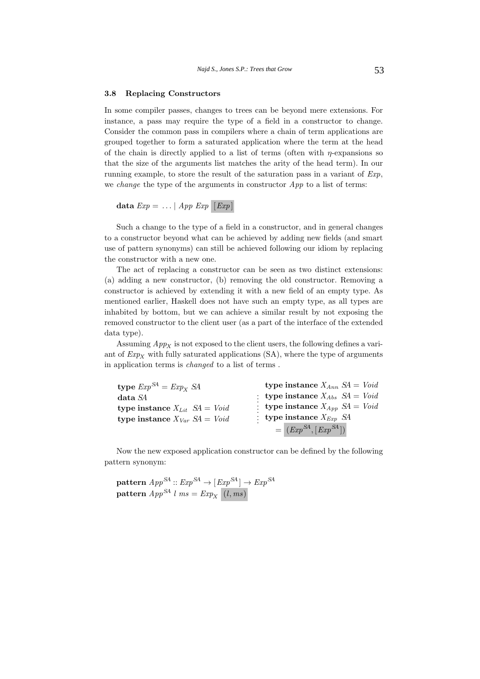### **3.8 Replacing Constructors**

In some compiler passes, changes to trees can be beyond mere extensions. For instance, a pass may require the type of a field in a constructor to change. Consider the common pass in compilers where a chain of term applications are grouped together to form a saturated application where the term at the head of the chain is directly applied to a list of terms (often with  $\eta$ -expansions so that the size of the arguments list matches the arity of the head term). In our running example, to store the result of the saturation pass in a variant of  $Exp$ , we *change* the type of the arguments in constructor  $App$  to a list of terms:

$$
\mathbf{data}\; Exp = \ldots \mid App\; Exp \; [Exp]
$$

Such a change to the type of a field in a constructor, and in general changes to a constructor beyond what can be achieved by adding new fields (and smart use of pattern synonyms) can still be achieved following our idiom by replacing the constructor with a new one.

The act of replacing a constructor can be seen as two distinct extensions: (a) adding a new constructor, (b) removing the old constructor. Removing a constructor is achieved by extending it with a new field of an empty type. As mentioned earlier, Haskell does not have such an empty type, as all types are inhabited by bottom, but we can achieve a similar result by not exposing the removed constructor to the client user (as a part of the interface of the extended data type).

Assuming  $App<sub>X</sub>$  is not exposed to the client users, the following defines a variant of  $Exp_X$  with fully saturated applications (SA), where the type of arguments in application terms is changed to a list of terms .

| type $Exp^{SA} = Exp_X SA$                  | type instance $X_{Ann} S A = Void$    |
|---------------------------------------------|---------------------------------------|
| $data\,\mathit{SA}$                         | : type instance $X_{Abs}$ $SA = Void$ |
| type instance $X_{Lit}$ $SA = Void$         | : type instance $X_{App}$ $SA = Void$ |
| type instance $X_{Var} S A = V \text{o} id$ | : type instance $X_{Exp}$ SA          |
|                                             | $= (Exp^{SA}, [Exp^{SA}])$            |

Now the new exposed application constructor can be defined by the following pattern synonym:

 ${\bf pattern}~App^{SA}::Exp^{SA} \rightarrow [Exp^{SA}]\rightarrow Exp^{SA}$  $\textbf{pattern } App^{\textbf{SA}}\;l\;ms = Exp_X\;\; (l, ms)$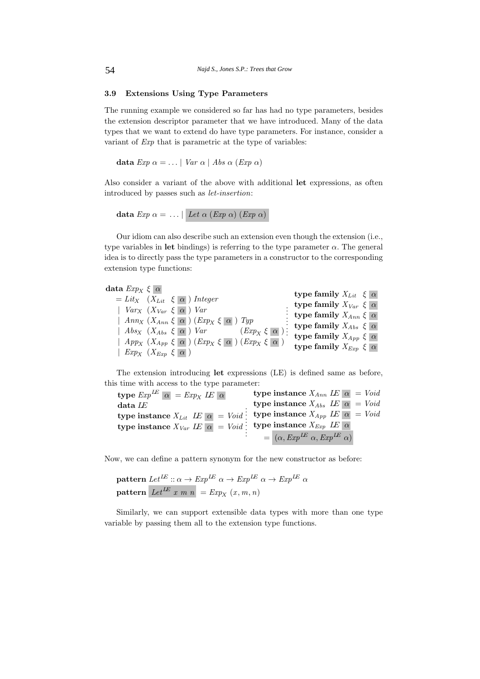# **3.9 Extensions Using Type Parameters**

The running example we considered so far has had no type parameters, besides the extension descriptor parameter that we have introduced. Many of the data types that we want to extend do have type parameters. For instance, consider a variant of Exp that is parametric at the type of variables:

**data**  $Exp \alpha = \ldots | Var \alpha | Abs \alpha (Exp \alpha)$ 

Also consider a variant of the above with additional **let** expressions, as often introduced by passes such as let-insertion:

**data**  $Exp \alpha = \ldots \mid Let \alpha (Exp \alpha) (Exp \alpha)$ 

Our idiom can also describe such an extension even though the extension (i.e., type variables in **let** bindings) is referring to the type parameter  $\alpha$ . The general idea is to directly pass the type parameters in a constructor to the corresponding extension type functions:

| $\textbf{data}~Exp_{X}~\xi~ \alpha $                                                  |                                     |
|---------------------------------------------------------------------------------------|-------------------------------------|
| $= Lit_X$ $(X_{Lit} \xi   \alpha)$ Integer                                            | type family $X_{Lit} \xi   \alpha $ |
|                                                                                       | type family $X_{Var} \xi \alpha$    |
| $Var_X$ $(X_{Var} \xi   \alpha)$ $Var$                                                | : type family $X_{Ann} \xi \alpha$  |
| $\mid$ Ann <sub>X</sub> $(X_{Ann} \xi \alpha)$ (Exp <sub>X</sub> $\xi \alpha$ ) Typ   |                                     |
| $(Exp_X \xi \alpha)$<br>$ $ Abs <sub>X</sub> (X <sub>Abs</sub> $\xi   \alpha$ ) Var   | : type family $X_{Abs} \xi \alpha$  |
|                                                                                       | type family $X_{App} \xi \alpha$    |
| $\mid$ $App_{X}$ $(X_{App} \xi \alpha)$ $(Exp_{X} \xi \alpha)$ $(Exp_{X} \xi \alpha)$ | type family $X_{Exp} \xi \alpha$    |
| $Exp_X$ $(X_{Exp} \xi \alpha)$                                                        |                                     |

The extension introducing **let** expressions (LE) is defined same as before, this time with access to the type parameter:

 $\textbf{type} \; Exp^{LE} \; \boxed{\alpha} \; = \mathit{Exp}_X \; IE \; \boxed{\alpha}$ **data** LE **type instance**  $X_{Lit}$   $\overline{LE}$   $\alpha$  = Void **type instance**  $X_{Var}$   $\overline{LE}| \alpha| = \text{Void}$ . . . . . . . . . **type instance**  $X_{Ann}$   $\overline{LE}$   $\alpha = \text{Void}$ **type instance**  $X_{Abs}$   $\overline{LE}$   $\alpha$  = Void **type instance**  $X_{App}$   $\overline{LE}$   $\alpha = \text{Void}$  $\tt type instance \ X_{Exp} \ \ LE\|\alpha\|$  $= (\alpha, Exp^{LE} \alpha, Exp^{IE} \alpha)$ 

Now, we can define a pattern synonym for the new constructor as before:

**pattern**  $Let^{LE} :: \alpha \rightarrow Exp^{LE} \alpha \rightarrow Exp^{LE} \alpha \rightarrow Exp^{LE} \alpha$ **pattern** Let<sup>LE</sup> x m n = Exp<sub>X</sub>  $(x, m, n)$ 

Similarly, we can support extensible data types with more than one type variable by passing them all to the extension type functions.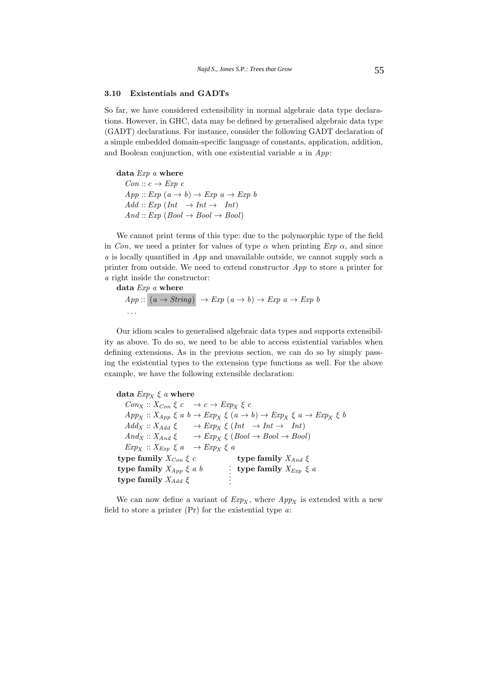## **3.10 Existentials and GADTs**

So far, we have considered extensibility in normal algebraic data type declarations. However, in GHC, data may be defined by generalised algebraic data type (GADT) declarations. For instance, consider the following GADT declaration of a simple embedded domain-specific language of constants, application, addition, and Boolean conjunction, with one existential variable  $a$  in  $App$ :

**data** Exp a **where**  $Con :: c \rightarrow Exp \ c$  $App :: Exp(a \rightarrow b) \rightarrow Exp a \rightarrow Exp b$  $Add :: Exp (Int \rightarrow Int \rightarrow Int)$  $And :: Exp (Bool \rightarrow Bool \rightarrow Bool)$ 

We cannot print terms of this type: due to the polymorphic type of the field in Con, we need a printer for values of type  $\alpha$  when printing  $Exp \alpha$ , and since  $a$  is locally quantified in  $App$  and unavailable outside, we cannot supply such a printer from outside. We need to extend constructor  $App$  to store a printer for a right inside the constructor:

## **data** Exp a **where**

 $App:: (a \rightarrow String) \rightarrow Exp (a \rightarrow b) \rightarrow Exp a \rightarrow Exp b$ ...

Our idiom scales to generalised algebraic data types and supports extensibility as above. To do so, we need to be able to access existential variables when defining extensions. As in the previous section, we can do so by simply passing the existential types to the extension type functions as well. For the above example, we have the following extensible declaration:

```
data Exp_X \xi a where
   Con_X :: X_{Con} \xi c \rightarrow c \rightarrow Exp_X \xi cApp_X :: X_{App} \xi a b \rightarrow Exp_X \xi (a \rightarrow b) \rightarrow Exp_X \xi a \rightarrow Exp_X \xi bAdd_X :: X_{Add} \xi \longrightarrow Exp_X \xi (Int \rightarrow Int \rightarrow Int)And_X :: X_{And} \xi \longrightarrow Exp_X \xi (Bool \rightarrow Bool \rightarrow Bool)Exp_X :: X_{Exp} \xi a \rightarrow Exp_X \xi atype family X_{Con} \xi c
type family X_{App} \xi a btype family X_{Add} \xi\therefore type family X_{Exp} \xi a
                                               .
                                               .
                                                 type family X_{And} ξ
```
We can now define a variant of  $Exp_{x}$ , where  $App_{x}$  is extended with a new field to store a printer  $(Pr)$  for the existential type  $a$ :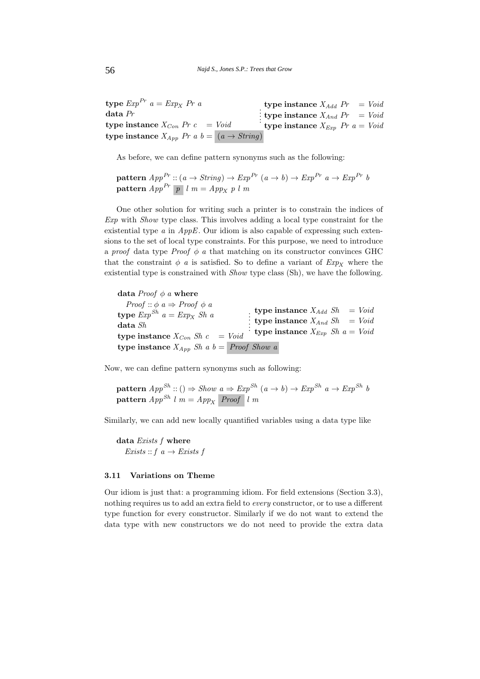**type**  $Exp^{Pr} a = Exp_X Pr a$ **data** Pr **type instance**  $X_{Con}$   $Pr c = Void$ **type instance**  $X_{App}$  Pr a  $b = (a \rightarrow String)$ . . . : **type instance**  $X_{Add}$   $Pr$  = Void **type instance**  $X_{And}$   $Pr$  = Void **type instance**  $X_{Exp}$  *Pr a = Void* 

As before, we can define pattern synonyms such as the following:

**pattern**  $App^{Pr}: (a \rightarrow String) \rightarrow Exp^{Pr} (a \rightarrow b) \rightarrow Exp^{Pr} a \rightarrow Exp^{Pr} b$ **pattern**  $App<sup>Pr</sup>$  p l  $m = App<sub>X</sub>$  p l  $m$ 

One other solution for writing such a printer is to constrain the indices of Exp with Show type class. This involves adding a local type constraint for the existential type  $\alpha$  in  $AppE$ . Our idiom is also capable of expressing such extensions to the set of local type constraints. For this purpose, we need to introduce a proof data type Proof  $\phi$  a that matching on its constructor convinces GHC that the constraint  $\phi$  a is satisfied. So to define a variant of  $Exp<sub>X</sub>$  where the existential type is constrained with Show type class (Sh), we have the following.

data *Proof*  $\phi$  *a* where  $Proof :: \phi \ a \Rightarrow Proof \ \phi \ a$ **type**  $Exp^{Sh} a = Exp_X Sh a$ **data** Sh **type instance**  $X_{Con}$  Sh  $c = V^{oid}$ **type instance**  $X_{App}$  Sh a  $b = Proof$  Show a . . . . . . **type instance**  $X_{Add}$   $Sh$  =  $Void$ **type instance**  $X_{And}$   $Sh$  =  $Void$ **type instance**  $X_{Exp}$  Sh  $a = Void$ 

Now, we can define pattern synonyms such as following:

**pattern**  $App^{Sh}$  :: ()  $\Rightarrow$  Show  $a \Rightarrow Exp^{Sh}$   $(a \rightarrow b) \rightarrow Exp^{Sh}$   $a \rightarrow Exp^{Sh}$  b  $\textbf{pattern } App^{Sh} \, l \, m = App_X \, \overline{\text{Proof}} \, \, l \, m$ 

Similarly, we can add new locally quantified variables using a data type like

**data** Exists f **where** Exists :: f  $a \rightarrow$  Exists f

#### **3.11 Variations on Theme**

Our idiom is just that: a programming idiom. For field extensions (Section 3.3), nothing requires us to add an extra field to every constructor, or to use a different type function for every constructor. Similarly if we do not want to extend the data type with new constructors we do not need to provide the extra data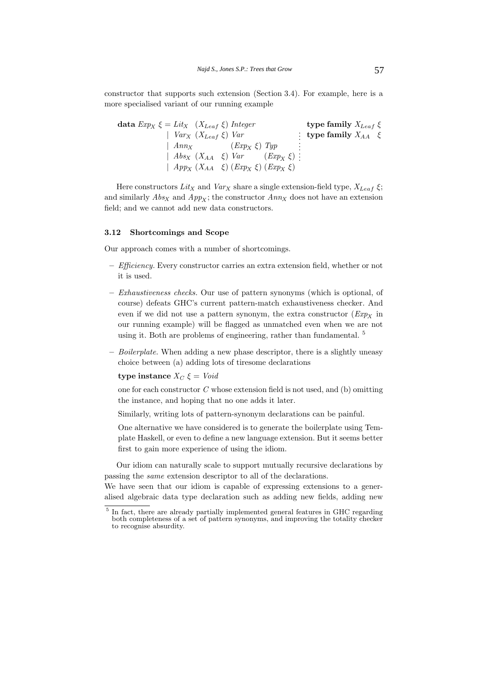constructor that supports such extension (Section 3.4). For example, here is a more specialised variant of our running example

| data $Exp_X \xi = Lit_X \ (X_{Leaf} \xi) \ Integer$ | type family $X_{Leaf} \xi$   |
|-----------------------------------------------------|------------------------------|
| $Var_X(X_{Leaf} \xi)$ Var                           | : type family $X_{AA}$ $\xi$ |
| $Ann_X$ $(Exp_X \xi) Type$                          |                              |
| $ABs_X (X_{AA} \xi) Var (Exp_X \xi)$ :              |                              |
| $App_X(X_{AA} \xi) (Exp_X \xi) (Exp_X \xi)$         |                              |

Here constructors  $Lit_X$  and  $Var_X$  share a single extension-field type,  $X_{Leaf} \xi$ ; and similarly  $Abs_X$  and  $App_X$ ; the constructor  $Ann_X$  does not have an extension field; and we cannot add new data constructors.

#### **3.12 Shortcomings and Scope**

Our approach comes with a number of shortcomings.

- **–** Efficiency. Every constructor carries an extra extension field, whether or not it is used.
- **–** Exhaustiveness checks. Our use of pattern synonyms (which is optional, of course) defeats GHC's current pattern-match exhaustiveness checker. And even if we did not use a pattern synonym, the extra constructor  $(\mathit{Exp}_X$  in our running example) will be flagged as unmatched even when we are not using it. Both are problems of engineering, rather than fundamental. <sup>5</sup>
- **–** Boilerplate. When adding a new phase descriptor, there is a slightly uneasy choice between (a) adding lots of tiresome declarations

## **type instance**  $X_C \xi = \text{Void}$

one for each constructor C whose extension field is not used, and (b) omitting the instance, and hoping that no one adds it later.

- Similarly, writing lots of pattern-synonym declarations can be painful.
- One alternative we have considered is to generate the boilerplate using Template Haskell, or even to define a new language extension. But it seems better first to gain more experience of using the idiom.

Our idiom can naturally scale to support mutually recursive declarations by passing the same extension descriptor to all of the declarations.

We have seen that our idiom is capable of expressing extensions to a generalised algebraic data type declaration such as adding new fields, adding new

<sup>&</sup>lt;sup>5</sup> In fact, there are already partially implemented general features in GHC regarding both completeness of a set of pattern synonyms, and improving the totality checker to recognise absurdity.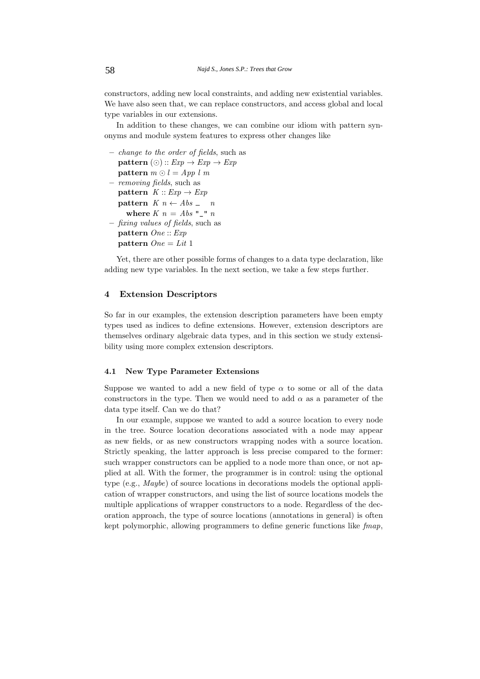constructors, adding new local constraints, and adding new existential variables. We have also seen that, we can replace constructors, and access global and local type variables in our extensions.

In addition to these changes, we can combine our idiom with pattern synonyms and module system features to express other changes like

```
– change to the order of fields, such as
   {\bf pattern}\ (\odot): \mathit{Exp} \rightarrow \mathit{Exp} \rightarrow \mathit{Exp}\textbf{pattern} \text{ } m \odot l = App \text{ } l \text{ } m– removing fields, such as
   pattern K :: Exp \rightarrow Exppattern K n \leftarrow Abs_{-} nwhere K n = Abs "_" n
– fixing values of fields, such as
   pattern One :: Exp
   pattern One = Lit 1
```
Yet, there are other possible forms of changes to a data type declaration, like adding new type variables. In the next section, we take a few steps further.

# **4 Extension Descriptors**

So far in our examples, the extension description parameters have been empty types used as indices to define extensions. However, extension descriptors are themselves ordinary algebraic data types, and in this section we study extensibility using more complex extension descriptors.

### **4.1 New Type Parameter Extensions**

Suppose we wanted to add a new field of type  $\alpha$  to some or all of the data constructors in the type. Then we would need to add  $\alpha$  as a parameter of the data type itself. Can we do that?

In our example, suppose we wanted to add a source location to every node in the tree. Source location decorations associated with a node may appear as new fields, or as new constructors wrapping nodes with a source location. Strictly speaking, the latter approach is less precise compared to the former: such wrapper constructors can be applied to a node more than once, or not applied at all. With the former, the programmer is in control: using the optional type (e.g., Maybe) of source locations in decorations models the optional application of wrapper constructors, and using the list of source locations models the multiple applications of wrapper constructors to a node. Regardless of the decoration approach, the type of source locations (annotations in general) is often kept polymorphic, allowing programmers to define generic functions like  $f$ map,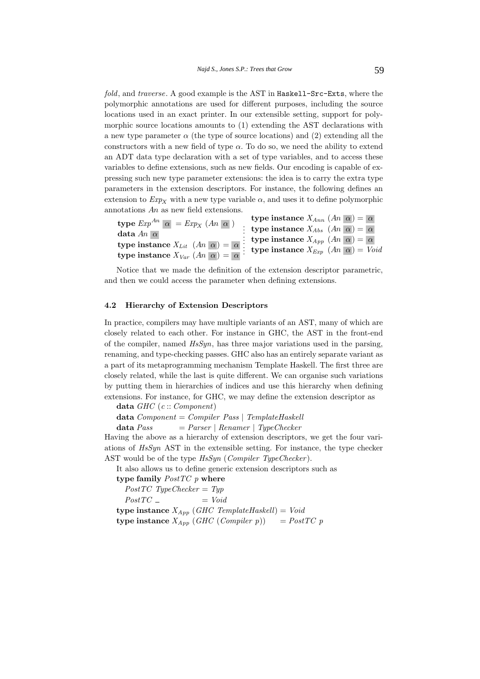fold, and traverse. A good example is the AST in Haskell-Src-Exts, where the polymorphic annotations are used for different purposes, including the source locations used in an exact printer. In our extensible setting, support for polymorphic source locations amounts to (1) extending the AST declarations with a new type parameter  $\alpha$  (the type of source locations) and (2) extending all the constructors with a new field of type  $\alpha$ . To do so, we need the ability to extend an ADT data type declaration with a set of type variables, and to access these variables to define extensions, such as new fields. Our encoding is capable of expressing such new type parameter extensions: the idea is to carry the extra type parameters in the extension descriptors. For instance, the following defines an extension to  $Exp_X$  with a new type variable  $\alpha$ , and uses it to define polymorphic annotations An as new field extensions.

| <b>type</b> $Exp^{An}$ $\alpha$ = $Exp_X$ $(An \alpha)$                | type instance $X_{Ann}$ $(An \alpha) = \alpha$          |
|------------------------------------------------------------------------|---------------------------------------------------------|
|                                                                        | : type instance $X_{Abs}$ $(An \mid \alpha) =  \alpha $ |
| data An $ \alpha $                                                     | : type instance $X_{App}$ $(An \alpha) = \alpha$        |
| type instance $X_{Lit}$ $(An \mid \alpha) =  \alpha $ :                | <b>type instance</b> $X_{Exp}$ $(An \alpha) = Void$     |
| type instance $X_{Var}$ $(An \overline{\alpha}) = \overline{\alpha}$ . |                                                         |

Notice that we made the definition of the extension descriptor parametric, and then we could access the parameter when defining extensions.

### **4.2 Hierarchy of Extension Descriptors**

In practice, compilers may have multiple variants of an AST, many of which are closely related to each other. For instance in GHC, the AST in the front-end of the compiler, named  $HsSym$ , has three major variations used in the parsing, renaming, and type-checking passes. GHC also has an entirely separate variant as a part of its metaprogramming mechanism Template Haskell. The first three are closely related, while the last is quite different. We can organise such variations by putting them in hierarchies of indices and use this hierarchy when defining extensions. For instance, for GHC, we may define the extension descriptor as

**data** GHC (c :: Component)

 $data\ Component = Computer\ Pass \mid TempleHaskell$ 

**data** Pass  $=$  Parser | Renamer | TypeChecker

Having the above as a hierarchy of extension descriptors, we get the four variations of HsSyn AST in the extensible setting. For instance, the type checker AST would be of the type  $HsSym$  (Compiler TypeChecker).

It also allows us to define generic extension descriptors such as

**type family** PostTC p **where**

 $PostTC$  TypeChecker = Typ  $PostTC = \qquad \qquad \qquad = Void$ 

**type instance**  $X_{App}$  (GHC TemplateHaskell) = Void

**type instance**  $X_{App}$  (GHC (Compiler p)) =  $PostTC$  p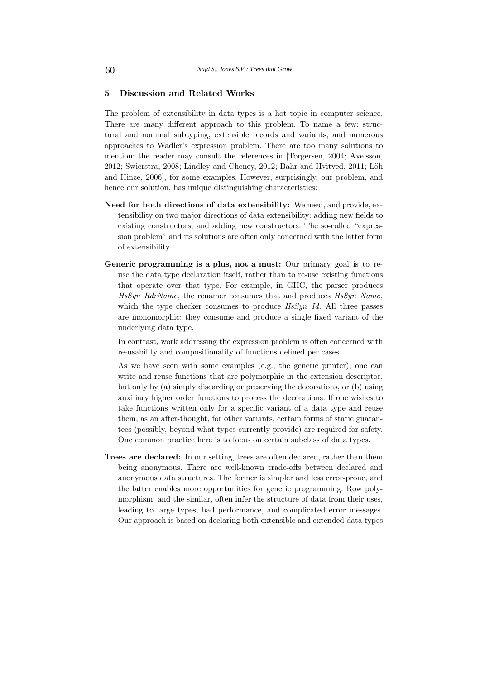# **5 Discussion and Related Works**

The problem of extensibility in data types is a hot topic in computer science. There are many different approach to this problem. To name a few: structural and nominal subtyping, extensible records and variants, and numerous approaches to Wadler's expression problem. There are too many solutions to mention; the reader may consult the references in [Torgersen, 2004; Axelsson, 2012; Swierstra, 2008; Lindley and Cheney, 2012; Bahr and Hvitved, 2011; Löh and Hinze, 2006], for some examples. However, surprisingly, our problem, and hence our solution, has unique distinguishing characteristics:

- **Need for both directions of data extensibility:** We need, and provide, extensibility on two major directions of data extensibility: adding new fields to existing constructors, and adding new constructors. The so-called "expression problem" and its solutions are often only concerned with the latter form of extensibility.
- **Generic programming is a plus, not a must:** Our primary goal is to reuse the data type declaration itself, rather than to re-use existing functions that operate over that type. For example, in GHC, the parser produces HsSyn RdrName, the renamer consumes that and produces HsSyn Name, which the type checker consumes to produce  $HsSym$  Id. All three passes are monomorphic: they consume and produce a single fixed variant of the underlying data type.

In contrast, work addressing the expression problem is often concerned with re-usability and compositionality of functions defined per cases.

As we have seen with some examples (e.g., the generic printer), one can write and reuse functions that are polymorphic in the extension descriptor, but only by (a) simply discarding or preserving the decorations, or (b) using auxiliary higher order functions to process the decorations. If one wishes to take functions written only for a specific variant of a data type and reuse them, as an after-thought, for other variants, certain forms of static guarantees (possibly, beyond what types currently provide) are required for safety. One common practice here is to focus on certain subclass of data types.

**Trees are declared:** In our setting, trees are often declared, rather than them being anonymous. There are well-known trade-offs between declared and anonymous data structures. The former is simpler and less error-prone, and the latter enables more opportunities for generic programming. Row polymorphism, and the similar, often infer the structure of data from their uses, leading to large types, bad performance, and complicated error messages. Our approach is based on declaring both extensible and extended data types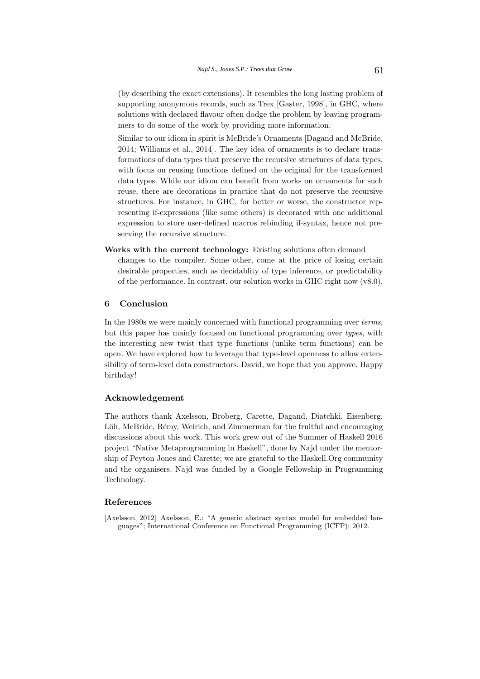(by describing the exact extensions). It resembles the long lasting problem of supporting anonymous records, such as Trex [Gaster, 1998], in GHC, where solutions with declared flavour often dodge the problem by leaving programmers to do some of the work by providing more information.

Similar to our idiom in spirit is McBride's Ornaments [Dagand and McBride, 2014; Williams et al., 2014]. The key idea of ornaments is to declare transformations of data types that preserve the recursive structures of data types, with focus on reusing functions defined on the original for the transformed data types. While our idiom can benefit from works on ornaments for such reuse, there are decorations in practice that do not preserve the recursive structures. For instance, in GHC, for better or worse, the constructor representing if-expressions (like some others) is decorated with one additional expression to store user-defined macros rebinding if-syntax, hence not preserving the recursive structure.

**Works with the current technology:** Existing solutions often demand

changes to the compiler. Some other, come at the price of losing certain desirable properties, such as decidablity of type inference, or predictability of the performance. In contrast, our solution works in GHC right now (v8.0).

## **6 Conclusion**

In the 1980s we were mainly concerned with functional programming over *terms*, but this paper has mainly focused on functional programming over types, with the interesting new twist that type functions (unlike term functions) can be open. We have explored how to leverage that type-level openness to allow extensibility of term-level data constructors. David, we hope that you approve. Happy birthday!

### **Acknowledgement**

The authors thank Axelsson, Broberg, Carette, Dagand, Diatchki, Eisenberg, Löh, McBride, Rémy, Weirich, and Zimmerman for the fruitful and encouraging discussions about this work. This work grew out of the Summer of Haskell 2016 project "Native Metaprogramming in Haskell", done by Najd under the mentorship of Peyton Jones and Carette; we are grateful to the Haskell.Org community and the organisers. Najd was funded by a Google Fellowship in Programming Technology.

#### **References**

[Axelsson, 2012] Axelsson, E.: "A generic abstract syntax model for embedded languages"; International Conference on Functional Programming (ICFP); 2012.